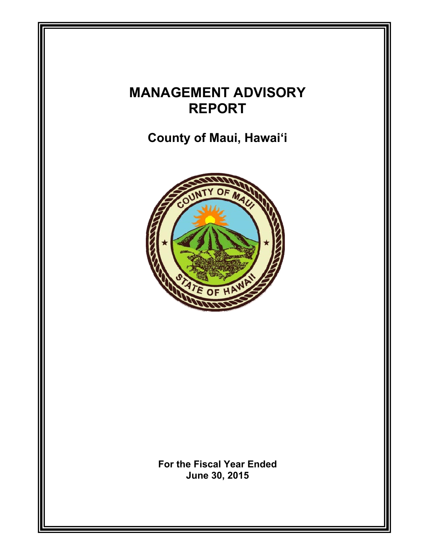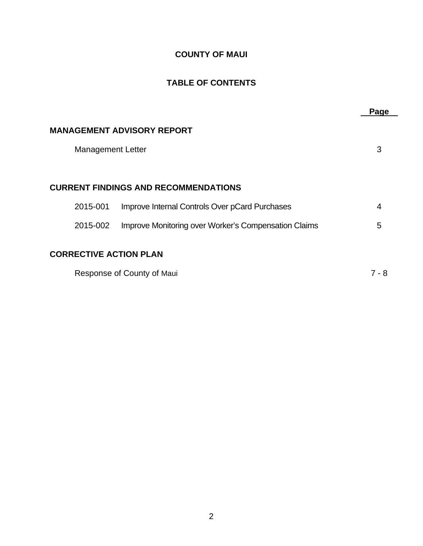## **COUNTY OF MAUI**

# **TABLE OF CONTENTS**

|                                                                  | Page  |
|------------------------------------------------------------------|-------|
| <b>MANAGEMENT ADVISORY REPORT</b>                                |       |
| <b>Management Letter</b>                                         | 3     |
|                                                                  |       |
| <b>CURRENT FINDINGS AND RECOMMENDATIONS</b>                      |       |
| Improve Internal Controls Over pCard Purchases<br>2015-001       | 4     |
| Improve Monitoring over Worker's Compensation Claims<br>2015-002 | 5     |
| <b>CORRECTIVE ACTION PLAN</b>                                    |       |
| Response of County of Maui                                       | 7 - 8 |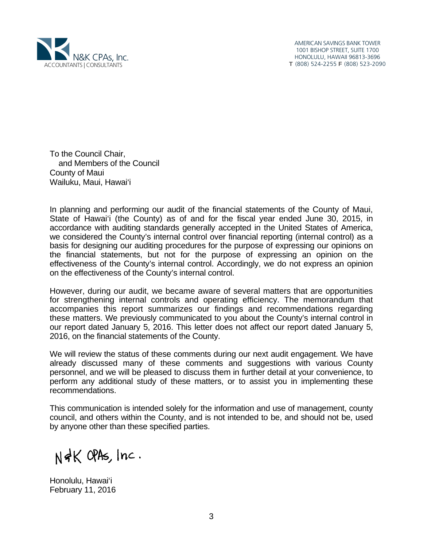

AMERICAN SAVINGS BANK TOWER 1001 BISHOP STREET, SUITE 1700 HONOLULU, HAWAII 96813-3696 T (808) 524-2255 F (808) 523-2090

To the Council Chair, and Members of the Council County of Maui Wailuku, Maui, Hawai'i

In planning and performing our audit of the financial statements of the County of Maui, State of Hawai'i (the County) as of and for the fiscal year ended June 30, 2015, in accordance with auditing standards generally accepted in the United States of America, we considered the County's internal control over financial reporting (internal control) as a basis for designing our auditing procedures for the purpose of expressing our opinions on the financial statements, but not for the purpose of expressing an opinion on the effectiveness of the County's internal control. Accordingly, we do not express an opinion on the effectiveness of the County's internal control.

However, during our audit, we became aware of several matters that are opportunities for strengthening internal controls and operating efficiency. The memorandum that accompanies this report summarizes our findings and recommendations regarding these matters. We previously communicated to you about the County's internal control in our report dated January 5, 2016. This letter does not affect our report dated January 5, 2016, on the financial statements of the County.

We will review the status of these comments during our next audit engagement. We have already discussed many of these comments and suggestions with various County personnel, and we will be pleased to discuss them in further detail at your convenience, to perform any additional study of these matters, or to assist you in implementing these recommendations.

This communication is intended solely for the information and use of management, county council, and others within the County, and is not intended to be, and should not be, used by anyone other than these specified parties.

N&K OPAS, Inc.

Honolulu, Hawai'i February 11, 2016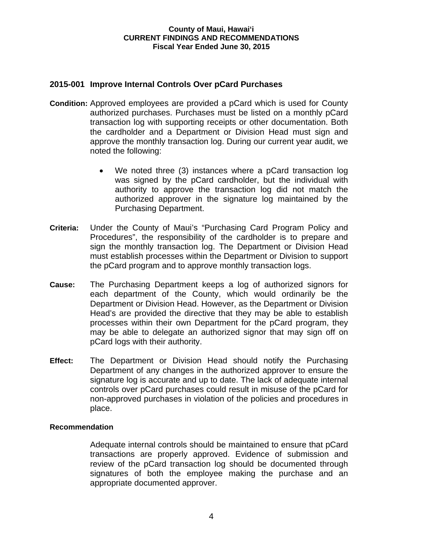#### **County of Maui, Hawai'i CURRENT FINDINGS AND RECOMMENDATIONS Fiscal Year Ended June 30, 2015**

## **2015-001 Improve Internal Controls Over pCard Purchases**

- **Condition:** Approved employees are provided a pCard which is used for County authorized purchases. Purchases must be listed on a monthly pCard transaction log with supporting receipts or other documentation. Both the cardholder and a Department or Division Head must sign and approve the monthly transaction log. During our current year audit, we noted the following:
	- We noted three (3) instances where a pCard transaction log was signed by the pCard cardholder, but the individual with authority to approve the transaction log did not match the authorized approver in the signature log maintained by the Purchasing Department.
- **Criteria:** Under the County of Maui's "Purchasing Card Program Policy and Procedures", the responsibility of the cardholder is to prepare and sign the monthly transaction log. The Department or Division Head must establish processes within the Department or Division to support the pCard program and to approve monthly transaction logs.
- **Cause:** The Purchasing Department keeps a log of authorized signors for each department of the County, which would ordinarily be the Department or Division Head. However, as the Department or Division Head's are provided the directive that they may be able to establish processes within their own Department for the pCard program, they may be able to delegate an authorized signor that may sign off on pCard logs with their authority.
- **Effect:** The Department or Division Head should notify the Purchasing Department of any changes in the authorized approver to ensure the signature log is accurate and up to date. The lack of adequate internal controls over pCard purchases could result in misuse of the pCard for non-approved purchases in violation of the policies and procedures in place.

### **Recommendation**

Adequate internal controls should be maintained to ensure that pCard transactions are properly approved. Evidence of submission and review of the pCard transaction log should be documented through signatures of both the employee making the purchase and an appropriate documented approver.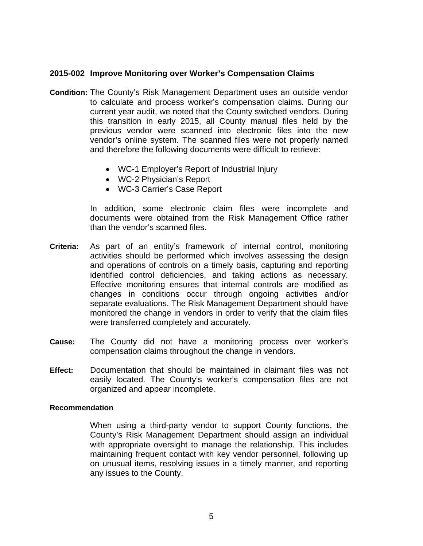## **2015-002 Improve Monitoring over Worker's Compensation Claims**

- **Condition:** The County's Risk Management Department uses an outside vendor to calculate and process worker's compensation claims. During our current year audit, we noted that the County switched vendors. During this transition in early 2015, all County manual files held by the previous vendor were scanned into electronic files into the new vendor's online system. The scanned files were not properly named and therefore the following documents were difficult to retrieve:
	- WC-1 Employer's Report of Industrial Injury
	- WC-2 Physician's Report
	- WC-3 Carrier's Case Report

 In addition, some electronic claim files were incomplete and documents were obtained from the Risk Management Office rather than the vendor's scanned files.

- **Criteria:** As part of an entity's framework of internal control, monitoring activities should be performed which involves assessing the design and operations of controls on a timely basis, capturing and reporting identified control deficiencies, and taking actions as necessary. Effective monitoring ensures that internal controls are modified as changes in conditions occur through ongoing activities and/or separate evaluations. The Risk Management Department should have monitored the change in vendors in order to verify that the claim files were transferred completely and accurately.
- **Cause:** The County did not have a monitoring process over worker's compensation claims throughout the change in vendors.
- **Effect:** Documentation that should be maintained in claimant files was not easily located. The County's worker's compensation files are not organized and appear incomplete.

#### **Recommendation**

When using a third-party vendor to support County functions, the County's Risk Management Department should assign an individual with appropriate oversight to manage the relationship. This includes maintaining frequent contact with key vendor personnel, following up on unusual items, resolving issues in a timely manner, and reporting any issues to the County.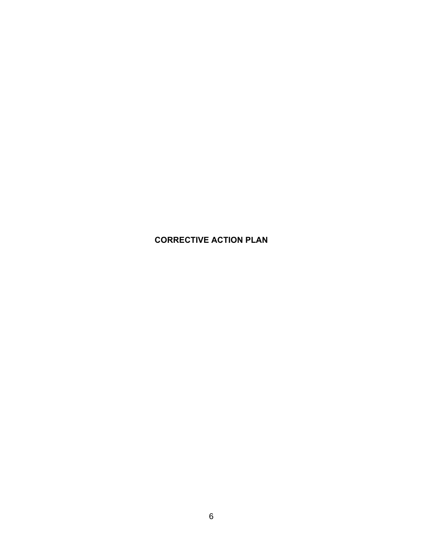# **CORRECTIVE ACTION PLAN**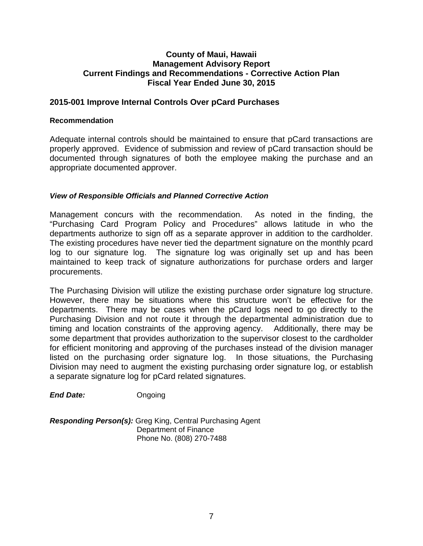## **County of Maui, Hawaii Management Advisory Report Current Findings and Recommendations - Corrective Action Plan Fiscal Year Ended June 30, 2015**

## **2015-001 Improve Internal Controls Over pCard Purchases**

#### **Recommendation**

Adequate internal controls should be maintained to ensure that pCard transactions are properly approved. Evidence of submission and review of pCard transaction should be documented through signatures of both the employee making the purchase and an appropriate documented approver.

### *View of Responsible Officials and Planned Corrective Action*

Management concurs with the recommendation. As noted in the finding, the "Purchasing Card Program Policy and Procedures" allows latitude in who the departments authorize to sign off as a separate approver in addition to the cardholder. The existing procedures have never tied the department signature on the monthly pcard log to our signature log. The signature log was originally set up and has been maintained to keep track of signature authorizations for purchase orders and larger procurements.

The Purchasing Division will utilize the existing purchase order signature log structure. However, there may be situations where this structure won't be effective for the departments. There may be cases when the pCard logs need to go directly to the Purchasing Division and not route it through the departmental administration due to timing and location constraints of the approving agency. Additionally, there may be some department that provides authorization to the supervisor closest to the cardholder for efficient monitoring and approving of the purchases instead of the division manager listed on the purchasing order signature log. In those situations, the Purchasing Division may need to augment the existing purchasing order signature log, or establish a separate signature log for pCard related signatures.

*End Date:* Ongoing

*Responding Person(s):* Greg King, Central Purchasing Agent Department of Finance Phone No. (808) 270-7488